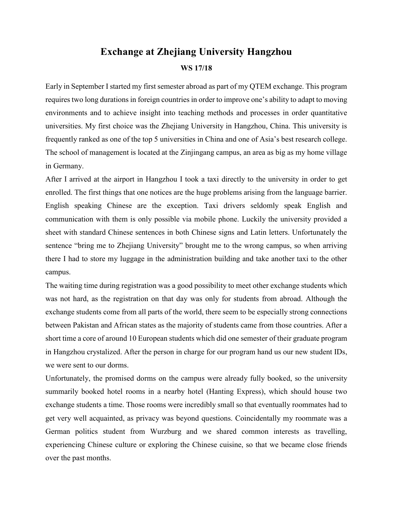## **Exchange at Zhejiang University Hangzhou**

## **WS 17/18**

Early in September I started my first semester abroad as part of my QTEM exchange. This program requires two long durations in foreign countries in order to improve one's ability to adapt to moving environments and to achieve insight into teaching methods and processes in order quantitative universities. My first choice was the Zhejiang University in Hangzhou, China. This university is frequently ranked as one of the top 5 universities in China and one of Asia's best research college. The school of management is located at the Zinjingang campus, an area as big as my home village in Germany.

After I arrived at the airport in Hangzhou I took a taxi directly to the university in order to get enrolled. The first things that one notices are the huge problems arising from the language barrier. English speaking Chinese are the exception. Taxi drivers seldomly speak English and communication with them is only possible via mobile phone. Luckily the university provided a sheet with standard Chinese sentences in both Chinese signs and Latin letters. Unfortunately the sentence "bring me to Zhejiang University" brought me to the wrong campus, so when arriving there I had to store my luggage in the administration building and take another taxi to the other campus.

The waiting time during registration was a good possibility to meet other exchange students which was not hard, as the registration on that day was only for students from abroad. Although the exchange students come from all parts of the world, there seem to be especially strong connections between Pakistan and African states as the majority of students came from those countries. After a short time a core of around 10 European students which did one semester of their graduate program in Hangzhou crystalized. After the person in charge for our program hand us our new student IDs, we were sent to our dorms.

Unfortunately, the promised dorms on the campus were already fully booked, so the university summarily booked hotel rooms in a nearby hotel (Hanting Express), which should house two exchange students a time. Those rooms were incredibly small so that eventually roommates had to get very well acquainted, as privacy was beyond questions. Coincidentally my roommate was a German politics student from Wurzburg and we shared common interests as travelling, experiencing Chinese culture or exploring the Chinese cuisine, so that we became close friends over the past months.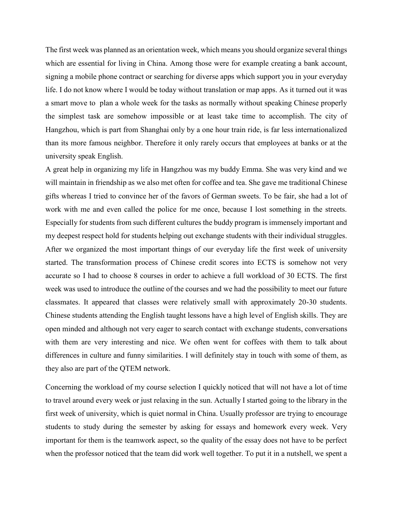The first week was planned as an orientation week, which means you should organize several things which are essential for living in China. Among those were for example creating a bank account, signing a mobile phone contract or searching for diverse apps which support you in your everyday life. I do not know where I would be today without translation or map apps. As it turned out it was a smart move to plan a whole week for the tasks as normally without speaking Chinese properly the simplest task are somehow impossible or at least take time to accomplish. The city of Hangzhou, which is part from Shanghai only by a one hour train ride, is far less internationalized than its more famous neighbor. Therefore it only rarely occurs that employees at banks or at the university speak English.

A great help in organizing my life in Hangzhou was my buddy Emma. She was very kind and we will maintain in friendship as we also met often for coffee and tea. She gave me traditional Chinese gifts whereas I tried to convince her of the favors of German sweets. To be fair, she had a lot of work with me and even called the police for me once, because I lost something in the streets. Especially for students from such different cultures the buddy program is immensely important and my deepest respect hold for students helping out exchange students with their individual struggles. After we organized the most important things of our everyday life the first week of university started. The transformation process of Chinese credit scores into ECTS is somehow not very accurate so I had to choose 8 courses in order to achieve a full workload of 30 ECTS. The first week was used to introduce the outline of the courses and we had the possibility to meet our future classmates. It appeared that classes were relatively small with approximately 20-30 students. Chinese students attending the English taught lessons have a high level of English skills. They are open minded and although not very eager to search contact with exchange students, conversations with them are very interesting and nice. We often went for coffees with them to talk about differences in culture and funny similarities. I will definitely stay in touch with some of them, as they also are part of the QTEM network.

Concerning the workload of my course selection I quickly noticed that will not have a lot of time to travel around every week or just relaxing in the sun. Actually I started going to the library in the first week of university, which is quiet normal in China. Usually professor are trying to encourage students to study during the semester by asking for essays and homework every week. Very important for them is the teamwork aspect, so the quality of the essay does not have to be perfect when the professor noticed that the team did work well together. To put it in a nutshell, we spent a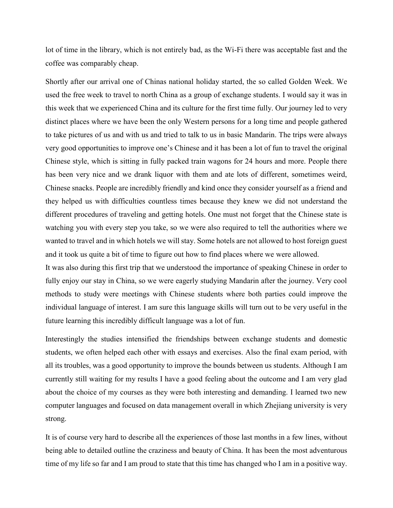lot of time in the library, which is not entirely bad, as the Wi-Fi there was acceptable fast and the coffee was comparably cheap.

Shortly after our arrival one of Chinas national holiday started, the so called Golden Week. We used the free week to travel to north China as a group of exchange students. I would say it was in this week that we experienced China and its culture for the first time fully. Our journey led to very distinct places where we have been the only Western persons for a long time and people gathered to take pictures of us and with us and tried to talk to us in basic Mandarin. The trips were always Very good opportunities to improve one's Chinese and it has been a lot of fun to travel the original Chinese style, which is sitting in fully packed train wagons for 24 hours and more. People there has been very nice and we drank liquor with them and ate lots of different, sometimes weird, Chinese snacks. People are incredibly friendly and kind once they consider yourself as a friend and they helped us with difficulties countless times because they knew we did not understand the different procedures of traveling and getting hotels. One must not forget that the Chinese state is watching you with every step you take, so we were also required to tell the authorities where we wanted to travel and in which hotels we will stay. Some hotels are not allowed to host foreign guest and it took us quite a bit of time to figure out how to find places where we were allowed.

It was also during this first trip that we understood the importance of speaking Chinese in order to fully enjoy our stay in China, so we were eagerly studying Mandarin after the journey. Very cool methods to study were meetings with Chinese students where both parties could improve the individual language of interest. I am sure this language skills will turn out to be very useful in the future learning this incredibly difficult language was a lot of fun.

Interestingly the studies intensified the friendships between exchange students and domestic students, we often helped each other with essays and exercises. Also the final exam period, with all its troubles, was a good opportunity to improve the bounds between us students. Although I am currently still waiting for my results I have a good feeling about the outcome and I am very glad about the choice of my courses as they were both interesting and demanding. I learned two new computer languages and focused on data management overall in which Zhejiang university is very strong.

It is of course very hard to describe all the experiences of those last months in a few lines, without being able to detailed outline the craziness and beauty of China. It has been the most adventurous time of my life so far and I am proud to state that this time has changed who I am in a positive way.